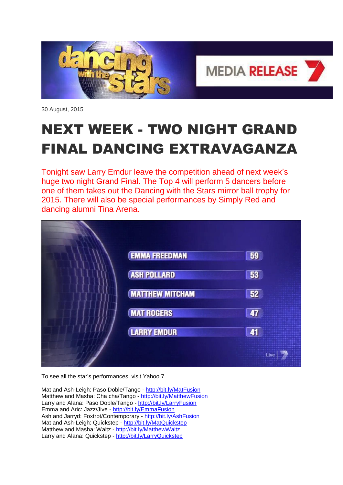

30 August, 2015

## NEXT WEEK - TWO NIGHT GRAND FINAL DANCING EXTRAVAGANZA

Tonight saw Larry Emdur leave the competition ahead of next week's huge two night Grand Final. The Top 4 will perform 5 dancers before one of them takes out the Dancing with the Stars mirror ball trophy for 2015. There will also be special performances by Simply Red and dancing alumni Tina Arena.

| <b>EMMA FREEDMAN</b>   | 59          |
|------------------------|-------------|
| <b>ASH POLLARD</b>     | 53          |
| <b>MATTHEW MITCHAM</b> | 52          |
| <b>MAT ROGERS</b>      | $\sqrt{47}$ |
| <b>LARRY EMDUR</b>     | 41          |
|                        | Live        |

To see all the star's performances, visit Yahoo 7.

Mat and Ash-Leigh: Paso Doble/Tango - <http://bit.ly/MatFusion> Matthew and Masha: Cha cha/Tango - <http://bit.ly/MatthewFusion> Larry and Alana: Paso Doble/Tango - <http://bit.ly/LarryFusion> Emma and Aric: Jazz/Jive - <http://bit.ly/EmmaFusion> Ash and Jarryd: Foxtrot/Contemporary - <http://bit.ly/AshFusion> Mat and Ash-Leigh: Quickstep - <http://bit.ly/MatQuickstep> Matthew and Masha: Waltz - <http://bit.ly/MatthewWaltz> Larry and Alana: Quickstep - <http://bit.ly/LarryQuickstep>